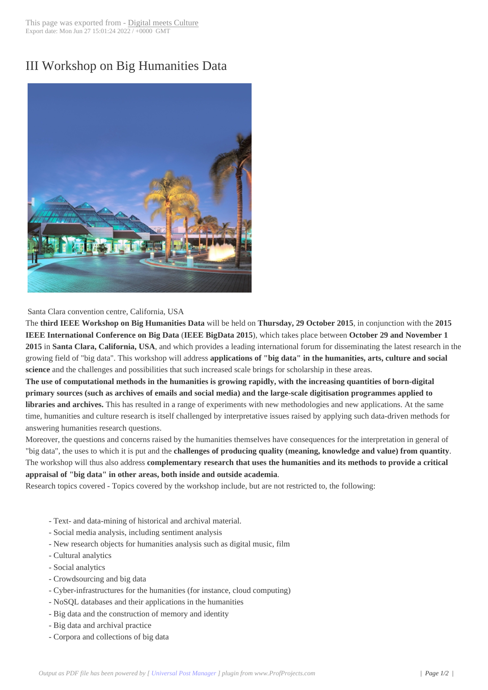## III Workshop on B[ig Humanities](http://www.digitalmeetsculture.net/?p=35810) Data



Santa Clara convention centre, California, USA

The **third IEEE Workshop on Big Humanities Data** will be held on **Thursday, 29 October 2015**, in conjunction with the **2015 IEEE International Conference on Big Data** (**IEEE BigData 2015**), which takes place between **October 29 and November 1 2015** in **Santa Clara, California, USA**, and which provides a leading international forum for disseminating the latest research in the growing field of "big data". This workshop will address **applications of "big data" in the humanities, arts, culture and social science** and the challenges and possibilities that such increased scale brings for scholarship in these areas.

**The use of computational methods in the humanities is growing rapidly, with the increasing quantities of born-digital primary sources (such as archives of emails and social media) and the large-scale digitisation programmes applied to libraries and archives.** This has resulted in a range of experiments with new methodologies and new applications. At the same time, humanities and culture research is itself challenged by interpretative issues raised by applying such data-driven methods for answering humanities research questions.

Moreover, the questions and concerns raised by the humanities themselves have consequences for the interpretation in general of "big data", the uses to which it is put and the **challenges of producing quality (meaning, knowledge and value) from quantity**. The workshop will thus also address **complementary research that uses the humanities and its methods to provide a critical appraisal of "big data" in other areas, both inside and outside academia**.

Research topics covered - Topics covered by the workshop include, but are not restricted to, the following:

- Text- and data-mining of historical and archival material.
- Social media analysis, including sentiment analysis
- New research objects for humanities analysis such as digital music, film
- Cultural analytics
- Social analytics
- Crowdsourcing and big data
- Cyber-infrastructures for the humanities (for instance, cloud computing)
- NoSQL databases and their applications in the humanities
- Big data and the construction of memory and identity
- Big data and archival practice
- Corpora and collections of big data